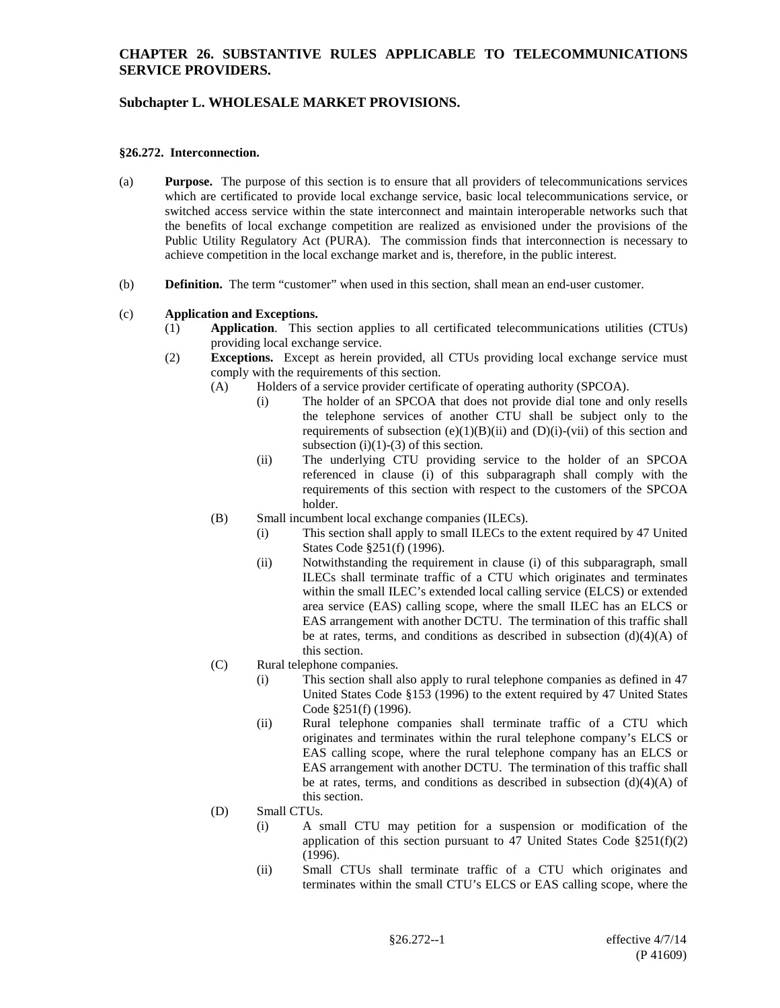# **Subchapter L. WHOLESALE MARKET PROVISIONS.**

#### **§26.272. Interconnection.**

- (a) **Purpose.** The purpose of this section is to ensure that all providers of telecommunications services which are certificated to provide local exchange service, basic local telecommunications service, or switched access service within the state interconnect and maintain interoperable networks such that the benefits of local exchange competition are realized as envisioned under the provisions of the Public Utility Regulatory Act (PURA). The commission finds that interconnection is necessary to achieve competition in the local exchange market and is, therefore, in the public interest.
- (b) **Definition.** The term "customer" when used in this section, shall mean an end-user customer.

#### (c) **Application and Exceptions.**

- (1) **Application**. This section applies to all certificated telecommunications utilities (CTUs) providing local exchange service.
- (2) **Exceptions.** Except as herein provided, all CTUs providing local exchange service must comply with the requirements of this section.
	- (A) Holders of a service provider certificate of operating authority (SPCOA).
		- (i) The holder of an SPCOA that does not provide dial tone and only resells the telephone services of another CTU shall be subject only to the requirements of subsection (e)(1)(B)(ii) and (D)(i)-(vii) of this section and subsection (i) $(1)-(3)$  of this section.
		- (ii) The underlying CTU providing service to the holder of an SPCOA referenced in clause (i) of this subparagraph shall comply with the requirements of this section with respect to the customers of the SPCOA holder.
	- (B) Small incumbent local exchange companies (ILECs).
		- (i) This section shall apply to small ILECs to the extent required by 47 United States Code §251(f) (1996).
		- (ii) Notwithstanding the requirement in clause (i) of this subparagraph, small ILECs shall terminate traffic of a CTU which originates and terminates within the small ILEC's extended local calling service (ELCS) or extended area service (EAS) calling scope, where the small ILEC has an ELCS or EAS arrangement with another DCTU. The termination of this traffic shall be at rates, terms, and conditions as described in subsection  $(d)(4)(A)$  of this section.
	- (C) Rural telephone companies.
		- (i) This section shall also apply to rural telephone companies as defined in 47 United States Code §153 (1996) to the extent required by 47 United States Code §251(f) (1996).
		- (ii) Rural telephone companies shall terminate traffic of a CTU which originates and terminates within the rural telephone company's ELCS or EAS calling scope, where the rural telephone company has an ELCS or EAS arrangement with another DCTU. The termination of this traffic shall be at rates, terms, and conditions as described in subsection  $(d)(4)(A)$  of this section.
	- (D) Small CTUs.
		- (i) A small CTU may petition for a suspension or modification of the application of this section pursuant to 47 United States Code  $\S251(f)(2)$ (1996).
		- (ii) Small CTUs shall terminate traffic of a CTU which originates and terminates within the small CTU's ELCS or EAS calling scope, where the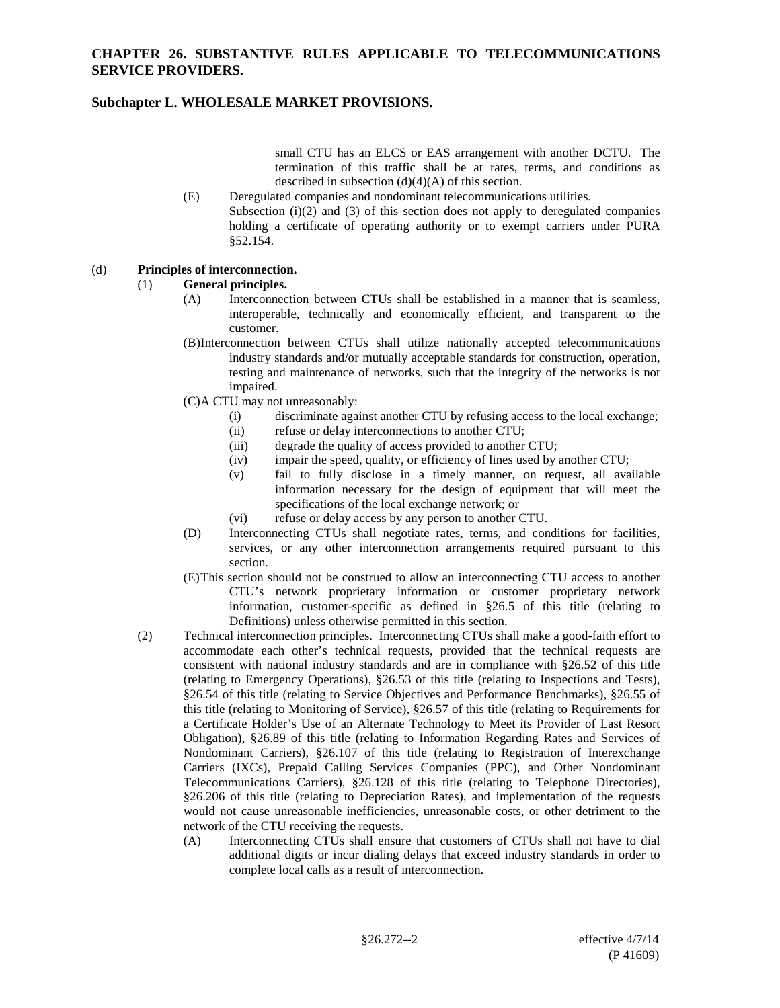small CTU has an ELCS or EAS arrangement with another DCTU. The termination of this traffic shall be at rates, terms, and conditions as described in subsection  $(d)(4)(A)$  of this section.

(E) Deregulated companies and nondominant telecommunications utilities. Subsection  $(i)(2)$  and  $(3)$  of this section does not apply to deregulated companies holding a certificate of operating authority or to exempt carriers under PURA §52.154.

#### (d) **Principles of interconnection.**

# (1) **General principles.**

- (A) Interconnection between CTUs shall be established in a manner that is seamless, interoperable, technically and economically efficient, and transparent to the customer.
- (B)Interconnection between CTUs shall utilize nationally accepted telecommunications industry standards and/or mutually acceptable standards for construction, operation, testing and maintenance of networks, such that the integrity of the networks is not impaired.
- (C)A CTU may not unreasonably:
	- (i) discriminate against another CTU by refusing access to the local exchange;
		- (ii) refuse or delay interconnections to another CTU;
		- (iii) degrade the quality of access provided to another CTU;
		- (iv) impair the speed, quality, or efficiency of lines used by another CTU;
		- (v) fail to fully disclose in a timely manner, on request, all available information necessary for the design of equipment that will meet the specifications of the local exchange network; or
		- (vi) refuse or delay access by any person to another CTU.
- (D) Interconnecting CTUs shall negotiate rates, terms, and conditions for facilities, services, or any other interconnection arrangements required pursuant to this section.
- (E)This section should not be construed to allow an interconnecting CTU access to another CTU's network proprietary information or customer proprietary network information, customer-specific as defined in §26.5 of this title (relating to Definitions) unless otherwise permitted in this section.
- (2) Technical interconnection principles. Interconnecting CTUs shall make a good-faith effort to accommodate each other's technical requests, provided that the technical requests are consistent with national industry standards and are in compliance with §26.52 of this title (relating to Emergency Operations), §26.53 of this title (relating to Inspections and Tests), §26.54 of this title (relating to Service Objectives and Performance Benchmarks), §26.55 of this title (relating to Monitoring of Service), §26.57 of this title (relating to Requirements for a Certificate Holder's Use of an Alternate Technology to Meet its Provider of Last Resort Obligation), §26.89 of this title (relating to Information Regarding Rates and Services of Nondominant Carriers), §26.107 of this title (relating to Registration of Interexchange Carriers (IXCs), Prepaid Calling Services Companies (PPC), and Other Nondominant Telecommunications Carriers), §26.128 of this title (relating to Telephone Directories), §26.206 of this title (relating to Depreciation Rates), and implementation of the requests would not cause unreasonable inefficiencies, unreasonable costs, or other detriment to the network of the CTU receiving the requests.
	- (A) Interconnecting CTUs shall ensure that customers of CTUs shall not have to dial additional digits or incur dialing delays that exceed industry standards in order to complete local calls as a result of interconnection.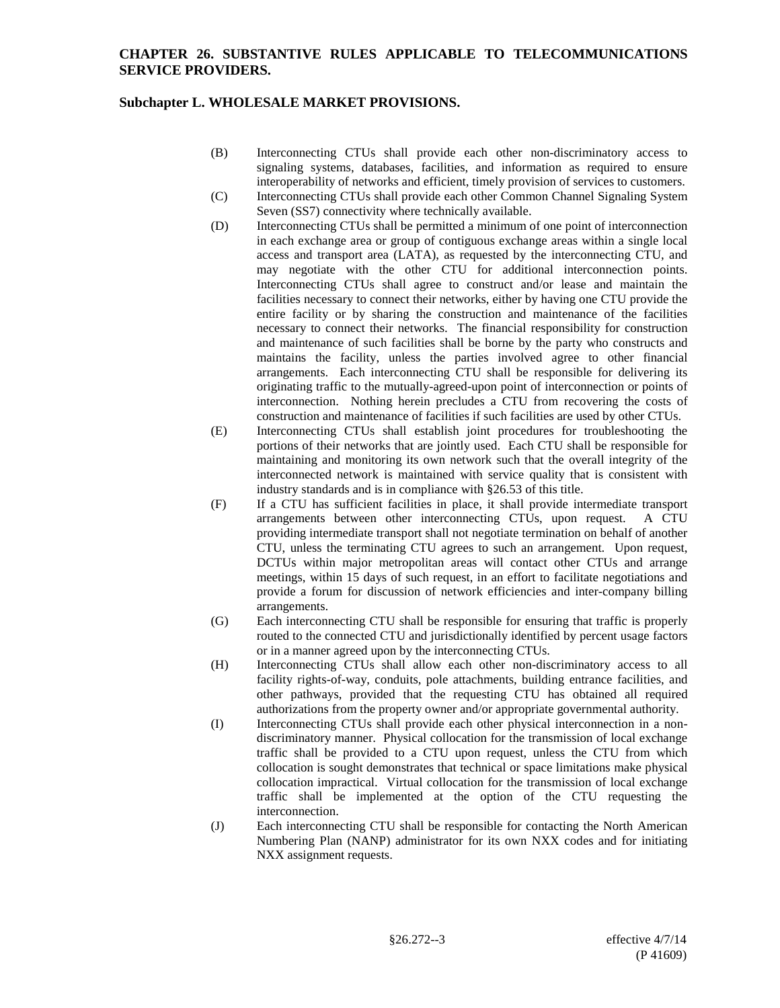# **Subchapter L. WHOLESALE MARKET PROVISIONS.**

- (B) Interconnecting CTUs shall provide each other non-discriminatory access to signaling systems, databases, facilities, and information as required to ensure interoperability of networks and efficient, timely provision of services to customers.
- (C) Interconnecting CTUs shall provide each other Common Channel Signaling System Seven (SS7) connectivity where technically available.
- (D) Interconnecting CTUs shall be permitted a minimum of one point of interconnection in each exchange area or group of contiguous exchange areas within a single local access and transport area (LATA), as requested by the interconnecting CTU, and may negotiate with the other CTU for additional interconnection points. Interconnecting CTUs shall agree to construct and/or lease and maintain the facilities necessary to connect their networks, either by having one CTU provide the entire facility or by sharing the construction and maintenance of the facilities necessary to connect their networks. The financial responsibility for construction and maintenance of such facilities shall be borne by the party who constructs and maintains the facility, unless the parties involved agree to other financial arrangements. Each interconnecting CTU shall be responsible for delivering its originating traffic to the mutually-agreed-upon point of interconnection or points of interconnection. Nothing herein precludes a CTU from recovering the costs of construction and maintenance of facilities if such facilities are used by other CTUs.
- (E) Interconnecting CTUs shall establish joint procedures for troubleshooting the portions of their networks that are jointly used. Each CTU shall be responsible for maintaining and monitoring its own network such that the overall integrity of the interconnected network is maintained with service quality that is consistent with industry standards and is in compliance with §26.53 of this title.
- (F) If a CTU has sufficient facilities in place, it shall provide intermediate transport arrangements between other interconnecting CTUs, upon request. A CTU providing intermediate transport shall not negotiate termination on behalf of another CTU, unless the terminating CTU agrees to such an arrangement. Upon request, DCTUs within major metropolitan areas will contact other CTUs and arrange meetings, within 15 days of such request, in an effort to facilitate negotiations and provide a forum for discussion of network efficiencies and inter-company billing arrangements.
- (G) Each interconnecting CTU shall be responsible for ensuring that traffic is properly routed to the connected CTU and jurisdictionally identified by percent usage factors or in a manner agreed upon by the interconnecting CTUs.
- (H) Interconnecting CTUs shall allow each other non-discriminatory access to all facility rights-of-way, conduits, pole attachments, building entrance facilities, and other pathways, provided that the requesting CTU has obtained all required authorizations from the property owner and/or appropriate governmental authority.
- (I) Interconnecting CTUs shall provide each other physical interconnection in a nondiscriminatory manner. Physical collocation for the transmission of local exchange traffic shall be provided to a CTU upon request, unless the CTU from which collocation is sought demonstrates that technical or space limitations make physical collocation impractical. Virtual collocation for the transmission of local exchange traffic shall be implemented at the option of the CTU requesting the interconnection.
- (J) Each interconnecting CTU shall be responsible for contacting the North American Numbering Plan (NANP) administrator for its own NXX codes and for initiating NXX assignment requests.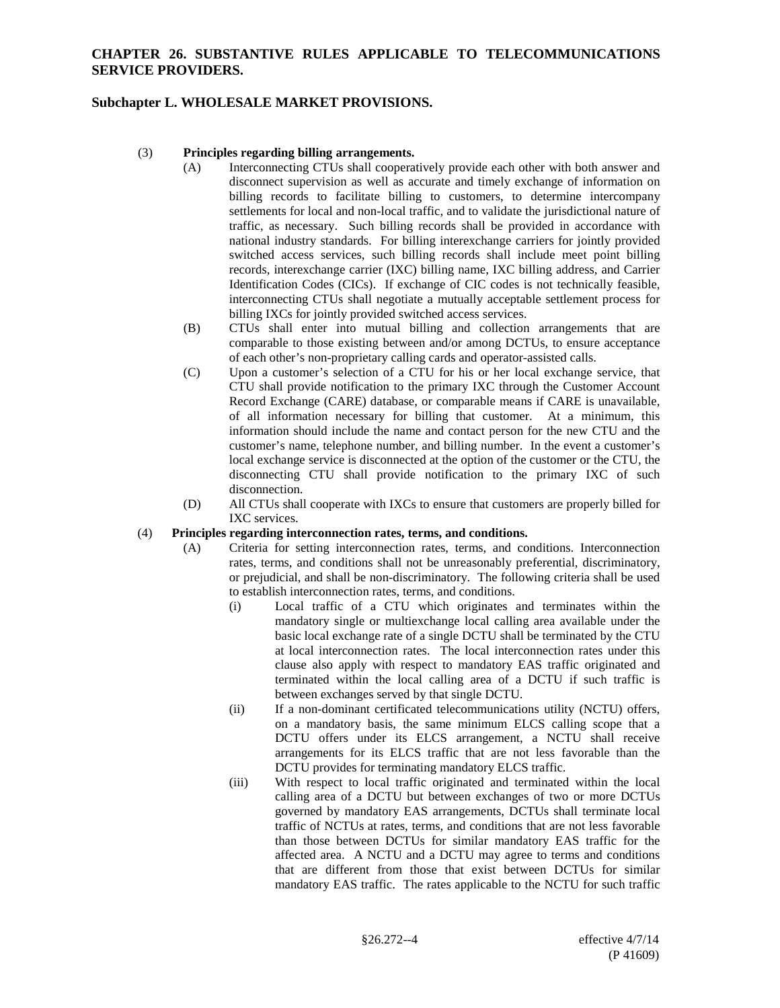#### (3) **Principles regarding billing arrangements.**

- (A) Interconnecting CTUs shall cooperatively provide each other with both answer and disconnect supervision as well as accurate and timely exchange of information on billing records to facilitate billing to customers, to determine intercompany settlements for local and non-local traffic, and to validate the jurisdictional nature of traffic, as necessary. Such billing records shall be provided in accordance with national industry standards. For billing interexchange carriers for jointly provided switched access services, such billing records shall include meet point billing records, interexchange carrier (IXC) billing name, IXC billing address, and Carrier Identification Codes (CICs). If exchange of CIC codes is not technically feasible, interconnecting CTUs shall negotiate a mutually acceptable settlement process for billing IXCs for jointly provided switched access services.
- (B) CTUs shall enter into mutual billing and collection arrangements that are comparable to those existing between and/or among DCTUs, to ensure acceptance of each other's non-proprietary calling cards and operator-assisted calls.
- (C) Upon a customer's selection of a CTU for his or her local exchange service, that CTU shall provide notification to the primary IXC through the Customer Account Record Exchange (CARE) database, or comparable means if CARE is unavailable, of all information necessary for billing that customer. At a minimum, this information should include the name and contact person for the new CTU and the customer's name, telephone number, and billing number. In the event a customer's local exchange service is disconnected at the option of the customer or the CTU, the disconnecting CTU shall provide notification to the primary IXC of such disconnection.
- (D) All CTUs shall cooperate with IXCs to ensure that customers are properly billed for IXC services.

#### (4) **Principles regarding interconnection rates, terms, and conditions.**

- (A) Criteria for setting interconnection rates, terms, and conditions. Interconnection rates, terms, and conditions shall not be unreasonably preferential, discriminatory, or prejudicial, and shall be non-discriminatory. The following criteria shall be used to establish interconnection rates, terms, and conditions.
	- (i) Local traffic of a CTU which originates and terminates within the mandatory single or multiexchange local calling area available under the basic local exchange rate of a single DCTU shall be terminated by the CTU at local interconnection rates. The local interconnection rates under this clause also apply with respect to mandatory EAS traffic originated and terminated within the local calling area of a DCTU if such traffic is between exchanges served by that single DCTU.
	- (ii) If a non-dominant certificated telecommunications utility (NCTU) offers, on a mandatory basis, the same minimum ELCS calling scope that a DCTU offers under its ELCS arrangement, a NCTU shall receive arrangements for its ELCS traffic that are not less favorable than the DCTU provides for terminating mandatory ELCS traffic.
	- (iii) With respect to local traffic originated and terminated within the local calling area of a DCTU but between exchanges of two or more DCTUs governed by mandatory EAS arrangements, DCTUs shall terminate local traffic of NCTUs at rates, terms, and conditions that are not less favorable than those between DCTUs for similar mandatory EAS traffic for the affected area. A NCTU and a DCTU may agree to terms and conditions that are different from those that exist between DCTUs for similar mandatory EAS traffic. The rates applicable to the NCTU for such traffic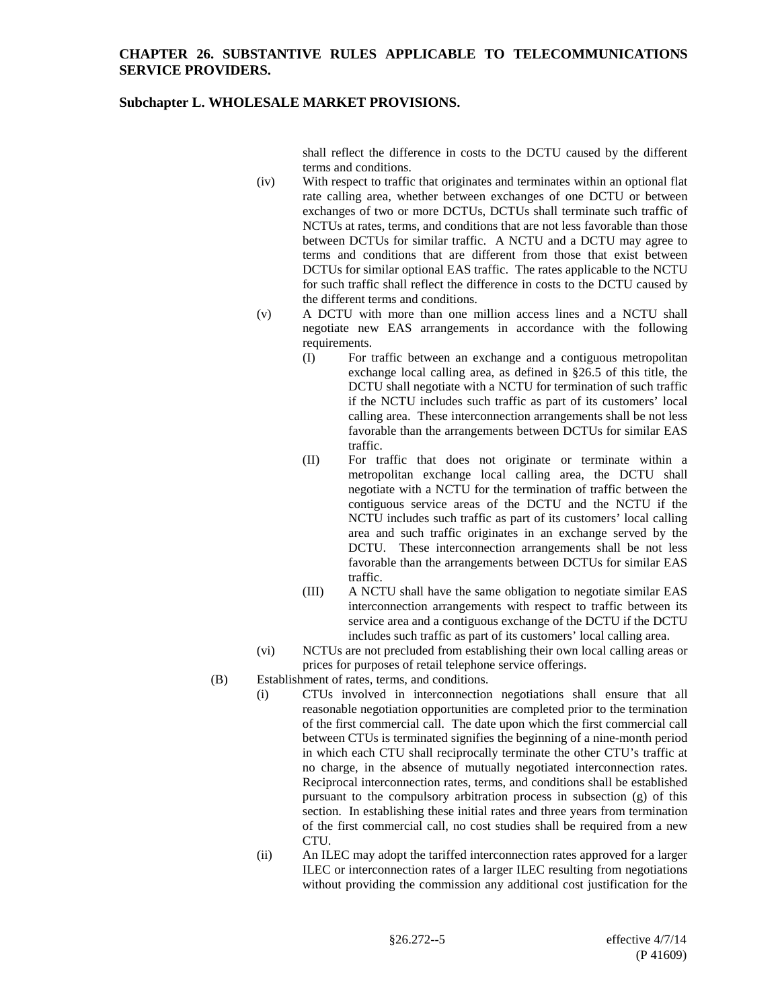shall reflect the difference in costs to the DCTU caused by the different terms and conditions.

- (iv) With respect to traffic that originates and terminates within an optional flat rate calling area, whether between exchanges of one DCTU or between exchanges of two or more DCTUs, DCTUs shall terminate such traffic of NCTUs at rates, terms, and conditions that are not less favorable than those between DCTUs for similar traffic. A NCTU and a DCTU may agree to terms and conditions that are different from those that exist between DCTUs for similar optional EAS traffic. The rates applicable to the NCTU for such traffic shall reflect the difference in costs to the DCTU caused by the different terms and conditions.
- (v) A DCTU with more than one million access lines and a NCTU shall negotiate new EAS arrangements in accordance with the following requirements.
	- (I) For traffic between an exchange and a contiguous metropolitan exchange local calling area, as defined in §26.5 of this title, the DCTU shall negotiate with a NCTU for termination of such traffic if the NCTU includes such traffic as part of its customers' local calling area. These interconnection arrangements shall be not less favorable than the arrangements between DCTUs for similar EAS traffic.
	- (II) For traffic that does not originate or terminate within a metropolitan exchange local calling area, the DCTU shall negotiate with a NCTU for the termination of traffic between the contiguous service areas of the DCTU and the NCTU if the NCTU includes such traffic as part of its customers' local calling area and such traffic originates in an exchange served by the DCTU. These interconnection arrangements shall be not less favorable than the arrangements between DCTUs for similar EAS traffic.
	- (III) A NCTU shall have the same obligation to negotiate similar EAS interconnection arrangements with respect to traffic between its service area and a contiguous exchange of the DCTU if the DCTU includes such traffic as part of its customers' local calling area.
- (vi) NCTUs are not precluded from establishing their own local calling areas or prices for purposes of retail telephone service offerings.
- (B) Establishment of rates, terms, and conditions.
	- (i) CTUs involved in interconnection negotiations shall ensure that all reasonable negotiation opportunities are completed prior to the termination of the first commercial call. The date upon which the first commercial call between CTUs is terminated signifies the beginning of a nine-month period in which each CTU shall reciprocally terminate the other CTU's traffic at no charge, in the absence of mutually negotiated interconnection rates. Reciprocal interconnection rates, terms, and conditions shall be established pursuant to the compulsory arbitration process in subsection (g) of this section. In establishing these initial rates and three years from termination of the first commercial call, no cost studies shall be required from a new CTU.
	- (ii) An ILEC may adopt the tariffed interconnection rates approved for a larger ILEC or interconnection rates of a larger ILEC resulting from negotiations without providing the commission any additional cost justification for the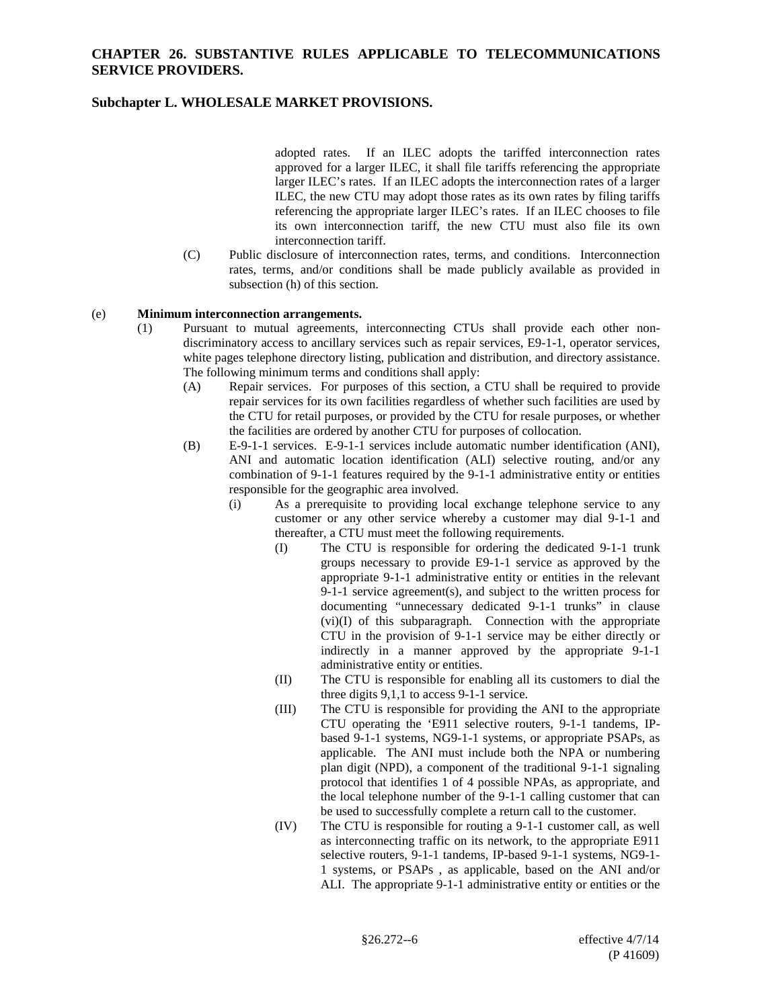# **Subchapter L. WHOLESALE MARKET PROVISIONS.**

adopted rates. If an ILEC adopts the tariffed interconnection rates approved for a larger ILEC, it shall file tariffs referencing the appropriate larger ILEC's rates. If an ILEC adopts the interconnection rates of a larger ILEC, the new CTU may adopt those rates as its own rates by filing tariffs referencing the appropriate larger ILEC's rates. If an ILEC chooses to file its own interconnection tariff, the new CTU must also file its own interconnection tariff.

(C) Public disclosure of interconnection rates, terms, and conditions. Interconnection rates, terms, and/or conditions shall be made publicly available as provided in subsection (h) of this section.

#### (e) **Minimum interconnection arrangements.**

- (1) Pursuant to mutual agreements, interconnecting CTUs shall provide each other nondiscriminatory access to ancillary services such as repair services, E9-1-1, operator services, white pages telephone directory listing, publication and distribution, and directory assistance. The following minimum terms and conditions shall apply:
	- (A) Repair services. For purposes of this section, a CTU shall be required to provide repair services for its own facilities regardless of whether such facilities are used by the CTU for retail purposes, or provided by the CTU for resale purposes, or whether the facilities are ordered by another CTU for purposes of collocation.
	- (B) E-9-1-1 services. E-9-1-1 services include automatic number identification (ANI), ANI and automatic location identification (ALI) selective routing, and/or any combination of 9-1-1 features required by the 9-1-1 administrative entity or entities responsible for the geographic area involved.
		- (i) As a prerequisite to providing local exchange telephone service to any customer or any other service whereby a customer may dial 9-1-1 and thereafter, a CTU must meet the following requirements.
			- (I) The CTU is responsible for ordering the dedicated 9-1-1 trunk groups necessary to provide E9-1-1 service as approved by the appropriate 9-1-1 administrative entity or entities in the relevant 9-1-1 service agreement(s), and subject to the written process for documenting "unnecessary dedicated 9-1-1 trunks" in clause (vi)(I) of this subparagraph. Connection with the appropriate CTU in the provision of 9-1-1 service may be either directly or indirectly in a manner approved by the appropriate 9-1-1 administrative entity or entities.
			- (II) The CTU is responsible for enabling all its customers to dial the three digits 9,1,1 to access 9-1-1 service.
			- (III) The CTU is responsible for providing the ANI to the appropriate CTU operating the 'E911 selective routers, 9-1-1 tandems, IPbased 9-1-1 systems, NG9-1-1 systems, or appropriate PSAPs, as applicable. The ANI must include both the NPA or numbering plan digit (NPD), a component of the traditional 9-1-1 signaling protocol that identifies 1 of 4 possible NPAs, as appropriate, and the local telephone number of the 9-1-1 calling customer that can be used to successfully complete a return call to the customer.
			- (IV) The CTU is responsible for routing a 9-1-1 customer call, as well as interconnecting traffic on its network, to the appropriate E911 selective routers, 9-1-1 tandems, IP-based 9-1-1 systems, NG9-1- 1 systems, or PSAPs , as applicable, based on the ANI and/or ALI. The appropriate 9-1-1 administrative entity or entities or the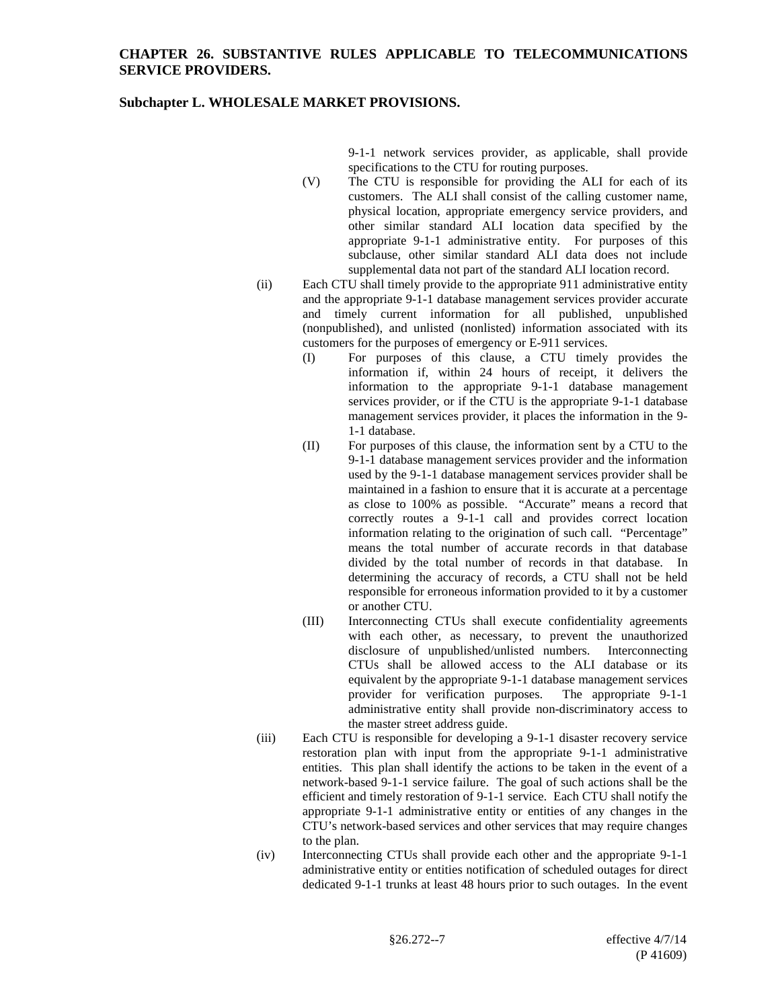9-1-1 network services provider, as applicable, shall provide specifications to the CTU for routing purposes.

- (V) The CTU is responsible for providing the ALI for each of its customers. The ALI shall consist of the calling customer name, physical location, appropriate emergency service providers, and other similar standard ALI location data specified by the appropriate 9-1-1 administrative entity. For purposes of this subclause, other similar standard ALI data does not include supplemental data not part of the standard ALI location record.
- (ii) Each CTU shall timely provide to the appropriate 911 administrative entity and the appropriate 9-1-1 database management services provider accurate and timely current information for all published, unpublished (nonpublished), and unlisted (nonlisted) information associated with its customers for the purposes of emergency or E-911 services.
	- (I) For purposes of this clause, a CTU timely provides the information if, within 24 hours of receipt, it delivers the information to the appropriate 9-1-1 database management services provider, or if the CTU is the appropriate 9-1-1 database management services provider, it places the information in the 9- 1-1 database.
	- (II) For purposes of this clause, the information sent by a CTU to the 9-1-1 database management services provider and the information used by the 9-1-1 database management services provider shall be maintained in a fashion to ensure that it is accurate at a percentage as close to 100% as possible. "Accurate" means a record that correctly routes a 9-1-1 call and provides correct location information relating to the origination of such call. "Percentage" means the total number of accurate records in that database divided by the total number of records in that database. In determining the accuracy of records, a CTU shall not be held responsible for erroneous information provided to it by a customer or another CTU.
	- (III) Interconnecting CTUs shall execute confidentiality agreements with each other, as necessary, to prevent the unauthorized disclosure of unpublished/unlisted numbers. Interconnecting CTUs shall be allowed access to the ALI database or its equivalent by the appropriate 9-1-1 database management services<br>provider for verification purposes. The appropriate 9-1-1 provider for verification purposes. administrative entity shall provide non-discriminatory access to the master street address guide.
- (iii) Each CTU is responsible for developing a 9-1-1 disaster recovery service restoration plan with input from the appropriate 9-1-1 administrative entities. This plan shall identify the actions to be taken in the event of a network-based 9-1-1 service failure. The goal of such actions shall be the efficient and timely restoration of 9-1-1 service. Each CTU shall notify the appropriate 9-1-1 administrative entity or entities of any changes in the CTU's network-based services and other services that may require changes to the plan.
- (iv) Interconnecting CTUs shall provide each other and the appropriate 9-1-1 administrative entity or entities notification of scheduled outages for direct dedicated 9-1-1 trunks at least 48 hours prior to such outages. In the event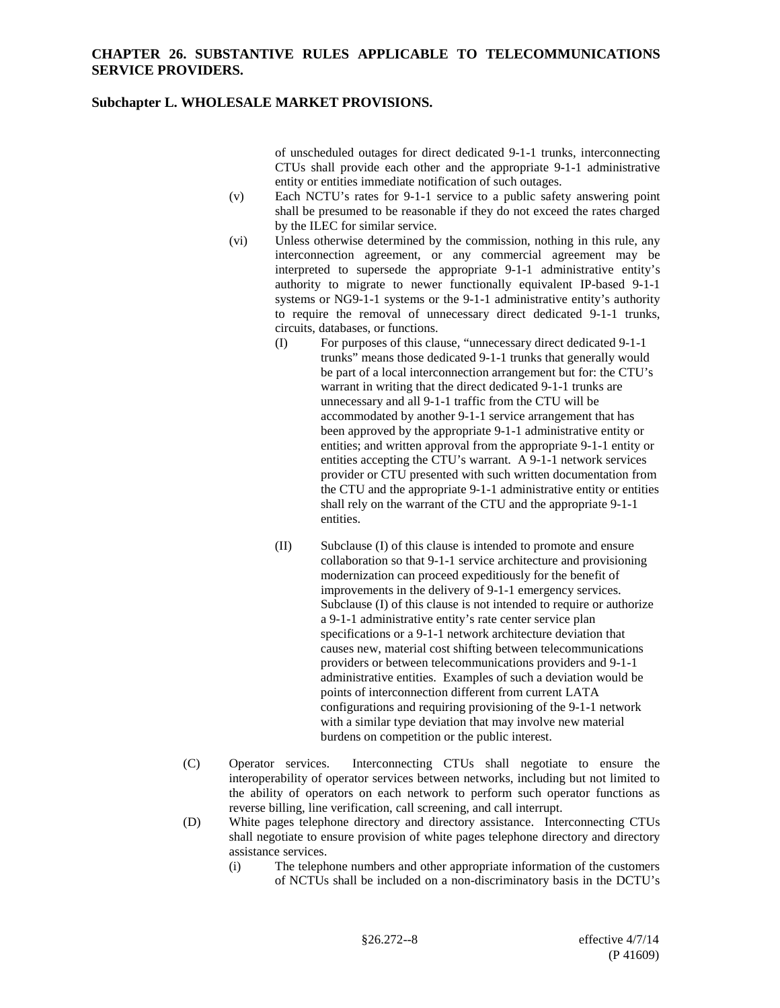of unscheduled outages for direct dedicated 9-1-1 trunks, interconnecting CTUs shall provide each other and the appropriate 9-1-1 administrative entity or entities immediate notification of such outages.

- (v) Each NCTU's rates for 9-1-1 service to a public safety answering point shall be presumed to be reasonable if they do not exceed the rates charged by the ILEC for similar service.
- (vi) Unless otherwise determined by the commission, nothing in this rule, any interconnection agreement, or any commercial agreement may be interpreted to supersede the appropriate 9-1-1 administrative entity's authority to migrate to newer functionally equivalent IP-based 9-1-1 systems or NG9-1-1 systems or the 9-1-1 administrative entity's authority to require the removal of unnecessary direct dedicated 9-1-1 trunks, circuits, databases, or functions.
	- (I) For purposes of this clause, "unnecessary direct dedicated 9-1-1 trunks" means those dedicated 9-1-1 trunks that generally would be part of a local interconnection arrangement but for: the CTU's warrant in writing that the direct dedicated 9-1-1 trunks are unnecessary and all 9-1-1 traffic from the CTU will be accommodated by another 9-1-1 service arrangement that has been approved by the appropriate 9-1-1 administrative entity or entities; and written approval from the appropriate 9-1-1 entity or entities accepting the CTU's warrant. A 9-1-1 network services provider or CTU presented with such written documentation from the CTU and the appropriate 9-1-1 administrative entity or entities shall rely on the warrant of the CTU and the appropriate 9-1-1 entities.
	- (II) Subclause (I) of this clause is intended to promote and ensure collaboration so that 9-1-1 service architecture and provisioning modernization can proceed expeditiously for the benefit of improvements in the delivery of 9-1-1 emergency services. Subclause (I) of this clause is not intended to require or authorize a 9-1-1 administrative entity's rate center service plan specifications or a 9-1-1 network architecture deviation that causes new, material cost shifting between telecommunications providers or between telecommunications providers and 9-1-1 administrative entities. Examples of such a deviation would be points of interconnection different from current LATA configurations and requiring provisioning of the 9-1-1 network with a similar type deviation that may involve new material burdens on competition or the public interest.
- (C) Operator services. Interconnecting CTUs shall negotiate to ensure the interoperability of operator services between networks, including but not limited to the ability of operators on each network to perform such operator functions as reverse billing, line verification, call screening, and call interrupt.
- (D) White pages telephone directory and directory assistance. Interconnecting CTUs shall negotiate to ensure provision of white pages telephone directory and directory assistance services.
	- (i) The telephone numbers and other appropriate information of the customers of NCTUs shall be included on a non-discriminatory basis in the DCTU's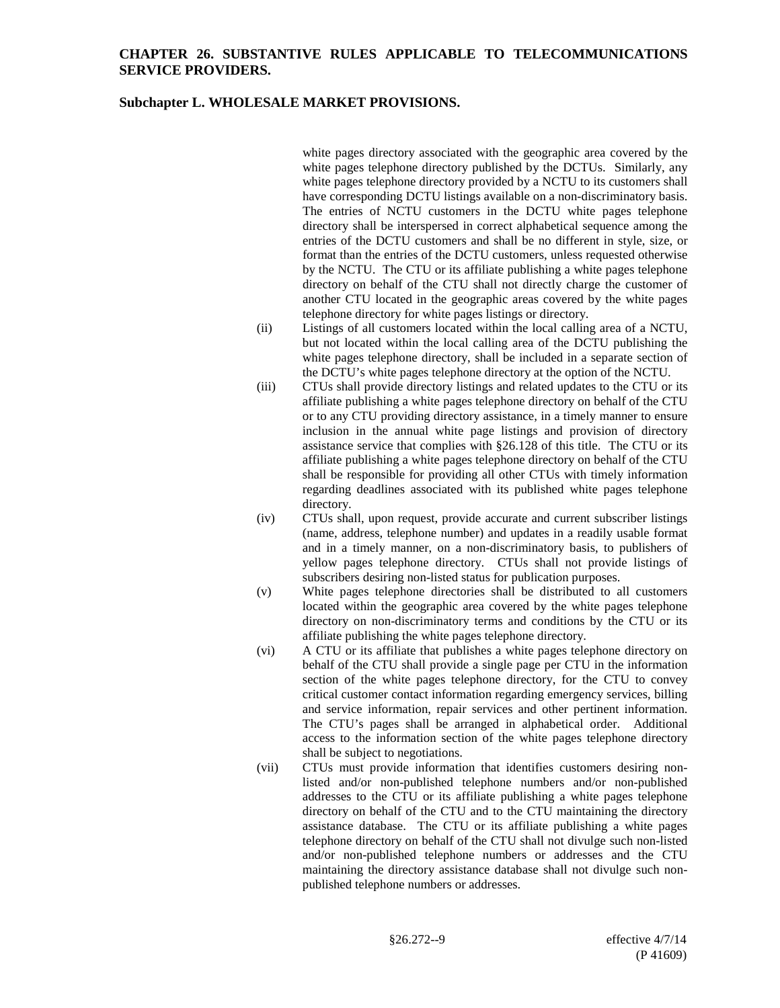### **Subchapter L. WHOLESALE MARKET PROVISIONS.**

white pages directory associated with the geographic area covered by the white pages telephone directory published by the DCTUs. Similarly, any white pages telephone directory provided by a NCTU to its customers shall have corresponding DCTU listings available on a non-discriminatory basis. The entries of NCTU customers in the DCTU white pages telephone directory shall be interspersed in correct alphabetical sequence among the entries of the DCTU customers and shall be no different in style, size, or format than the entries of the DCTU customers, unless requested otherwise by the NCTU. The CTU or its affiliate publishing a white pages telephone directory on behalf of the CTU shall not directly charge the customer of another CTU located in the geographic areas covered by the white pages telephone directory for white pages listings or directory.

- (ii) Listings of all customers located within the local calling area of a NCTU, but not located within the local calling area of the DCTU publishing the white pages telephone directory, shall be included in a separate section of the DCTU's white pages telephone directory at the option of the NCTU.
- (iii) CTUs shall provide directory listings and related updates to the CTU or its affiliate publishing a white pages telephone directory on behalf of the CTU or to any CTU providing directory assistance, in a timely manner to ensure inclusion in the annual white page listings and provision of directory assistance service that complies with §26.128 of this title. The CTU or its affiliate publishing a white pages telephone directory on behalf of the CTU shall be responsible for providing all other CTUs with timely information regarding deadlines associated with its published white pages telephone directory.
- (iv) CTUs shall, upon request, provide accurate and current subscriber listings (name, address, telephone number) and updates in a readily usable format and in a timely manner, on a non-discriminatory basis, to publishers of yellow pages telephone directory. CTUs shall not provide listings of subscribers desiring non-listed status for publication purposes.
- (v) White pages telephone directories shall be distributed to all customers located within the geographic area covered by the white pages telephone directory on non-discriminatory terms and conditions by the CTU or its affiliate publishing the white pages telephone directory.
- (vi) A CTU or its affiliate that publishes a white pages telephone directory on behalf of the CTU shall provide a single page per CTU in the information section of the white pages telephone directory, for the CTU to convey critical customer contact information regarding emergency services, billing and service information, repair services and other pertinent information. The CTU's pages shall be arranged in alphabetical order. Additional access to the information section of the white pages telephone directory shall be subject to negotiations.
- (vii) CTUs must provide information that identifies customers desiring nonlisted and/or non-published telephone numbers and/or non-published addresses to the CTU or its affiliate publishing a white pages telephone directory on behalf of the CTU and to the CTU maintaining the directory assistance database. The CTU or its affiliate publishing a white pages telephone directory on behalf of the CTU shall not divulge such non-listed and/or non-published telephone numbers or addresses and the CTU maintaining the directory assistance database shall not divulge such nonpublished telephone numbers or addresses.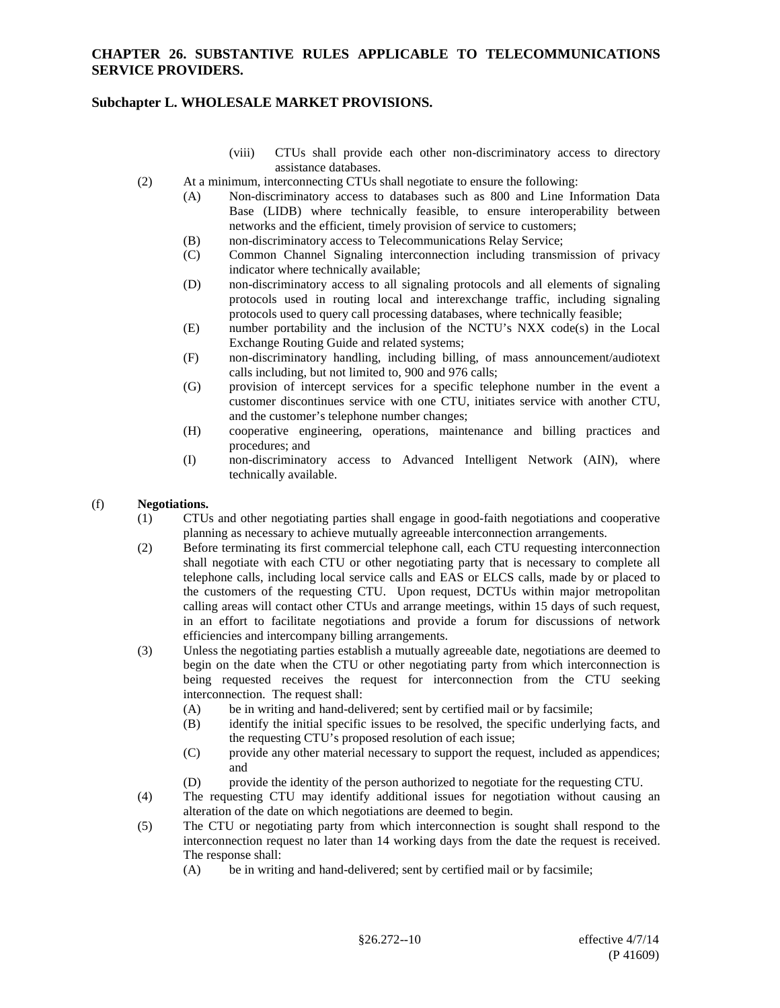### **Subchapter L. WHOLESALE MARKET PROVISIONS.**

- (viii) CTUs shall provide each other non-discriminatory access to directory assistance databases.
- (2) At a minimum, interconnecting CTUs shall negotiate to ensure the following:
	- (A) Non-discriminatory access to databases such as 800 and Line Information Data Base (LIDB) where technically feasible, to ensure interoperability between networks and the efficient, timely provision of service to customers;
	- (B) non-discriminatory access to Telecommunications Relay Service;
	- (C) Common Channel Signaling interconnection including transmission of privacy indicator where technically available;
	- (D) non-discriminatory access to all signaling protocols and all elements of signaling protocols used in routing local and interexchange traffic, including signaling protocols used to query call processing databases, where technically feasible;
	- (E) number portability and the inclusion of the NCTU's NXX code(s) in the Local Exchange Routing Guide and related systems;
	- (F) non-discriminatory handling, including billing, of mass announcement/audiotext calls including, but not limited to, 900 and 976 calls;
	- (G) provision of intercept services for a specific telephone number in the event a customer discontinues service with one CTU, initiates service with another CTU, and the customer's telephone number changes;
	- (H) cooperative engineering, operations, maintenance and billing practices and procedures; and
	- (I) non-discriminatory access to Advanced Intelligent Network (AIN), where technically available.

#### (f) **Negotiations.**

- (1) CTUs and other negotiating parties shall engage in good-faith negotiations and cooperative planning as necessary to achieve mutually agreeable interconnection arrangements.
- (2) Before terminating its first commercial telephone call, each CTU requesting interconnection shall negotiate with each CTU or other negotiating party that is necessary to complete all telephone calls, including local service calls and EAS or ELCS calls, made by or placed to the customers of the requesting CTU. Upon request, DCTUs within major metropolitan calling areas will contact other CTUs and arrange meetings, within 15 days of such request, in an effort to facilitate negotiations and provide a forum for discussions of network efficiencies and intercompany billing arrangements.
- (3) Unless the negotiating parties establish a mutually agreeable date, negotiations are deemed to begin on the date when the CTU or other negotiating party from which interconnection is being requested receives the request for interconnection from the CTU seeking interconnection. The request shall:
	- (A) be in writing and hand-delivered; sent by certified mail or by facsimile;
	- (B) identify the initial specific issues to be resolved, the specific underlying facts, and the requesting CTU's proposed resolution of each issue;
	- (C) provide any other material necessary to support the request, included as appendices; and
	- (D) provide the identity of the person authorized to negotiate for the requesting CTU.
- (4) The requesting CTU may identify additional issues for negotiation without causing an alteration of the date on which negotiations are deemed to begin.
- (5) The CTU or negotiating party from which interconnection is sought shall respond to the interconnection request no later than 14 working days from the date the request is received. The response shall:
	- (A) be in writing and hand-delivered; sent by certified mail or by facsimile;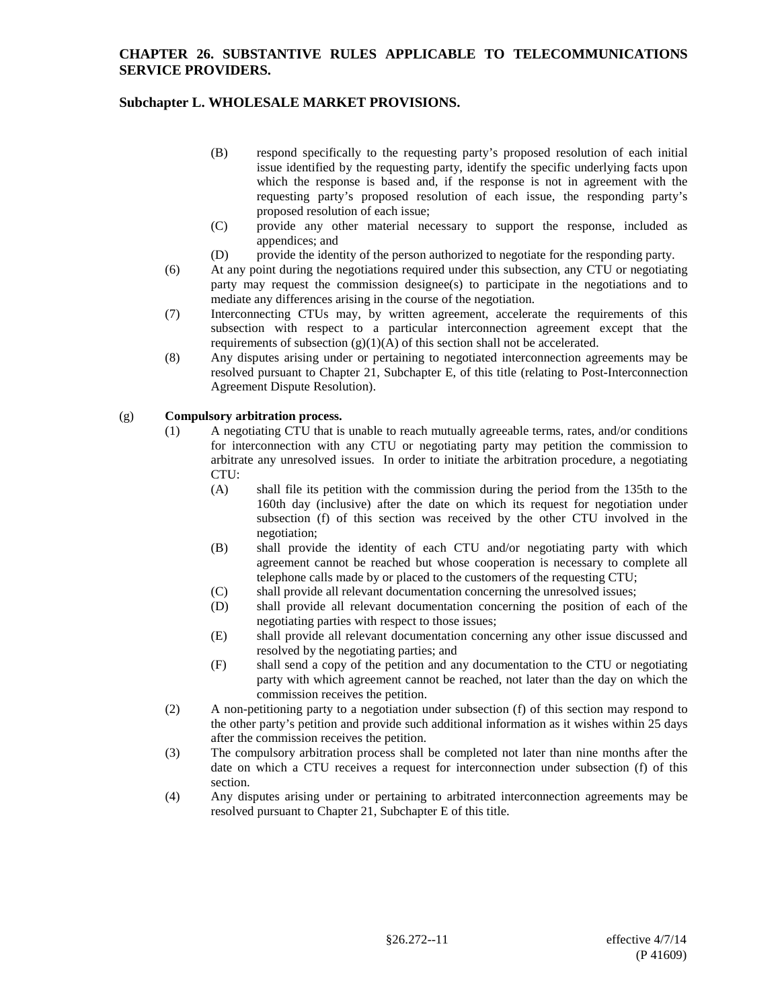# **Subchapter L. WHOLESALE MARKET PROVISIONS.**

- (B) respond specifically to the requesting party's proposed resolution of each initial issue identified by the requesting party, identify the specific underlying facts upon which the response is based and, if the response is not in agreement with the requesting party's proposed resolution of each issue, the responding party's proposed resolution of each issue;
- (C) provide any other material necessary to support the response, included as appendices; and
- (D) provide the identity of the person authorized to negotiate for the responding party.
- (6) At any point during the negotiations required under this subsection, any CTU or negotiating party may request the commission designee(s) to participate in the negotiations and to mediate any differences arising in the course of the negotiation.
- (7) Interconnecting CTUs may, by written agreement, accelerate the requirements of this subsection with respect to a particular interconnection agreement except that the requirements of subsection  $(g)(1)(A)$  of this section shall not be accelerated.
- (8) Any disputes arising under or pertaining to negotiated interconnection agreements may be resolved pursuant to Chapter 21, Subchapter E, of this title (relating to Post-Interconnection Agreement Dispute Resolution).

### (g) **Compulsory arbitration process.**

- (1) A negotiating CTU that is unable to reach mutually agreeable terms, rates, and/or conditions for interconnection with any CTU or negotiating party may petition the commission to arbitrate any unresolved issues. In order to initiate the arbitration procedure, a negotiating CTU:
	- (A) shall file its petition with the commission during the period from the 135th to the 160th day (inclusive) after the date on which its request for negotiation under subsection (f) of this section was received by the other CTU involved in the negotiation;
	- (B) shall provide the identity of each CTU and/or negotiating party with which agreement cannot be reached but whose cooperation is necessary to complete all telephone calls made by or placed to the customers of the requesting CTU;
	- (C) shall provide all relevant documentation concerning the unresolved issues;
	- (D) shall provide all relevant documentation concerning the position of each of the negotiating parties with respect to those issues;
	- (E) shall provide all relevant documentation concerning any other issue discussed and resolved by the negotiating parties; and
	- (F) shall send a copy of the petition and any documentation to the CTU or negotiating party with which agreement cannot be reached, not later than the day on which the commission receives the petition.
- (2) A non-petitioning party to a negotiation under subsection (f) of this section may respond to the other party's petition and provide such additional information as it wishes within 25 days after the commission receives the petition.
- (3) The compulsory arbitration process shall be completed not later than nine months after the date on which a CTU receives a request for interconnection under subsection (f) of this section.
- (4) Any disputes arising under or pertaining to arbitrated interconnection agreements may be resolved pursuant to Chapter 21, Subchapter E of this title.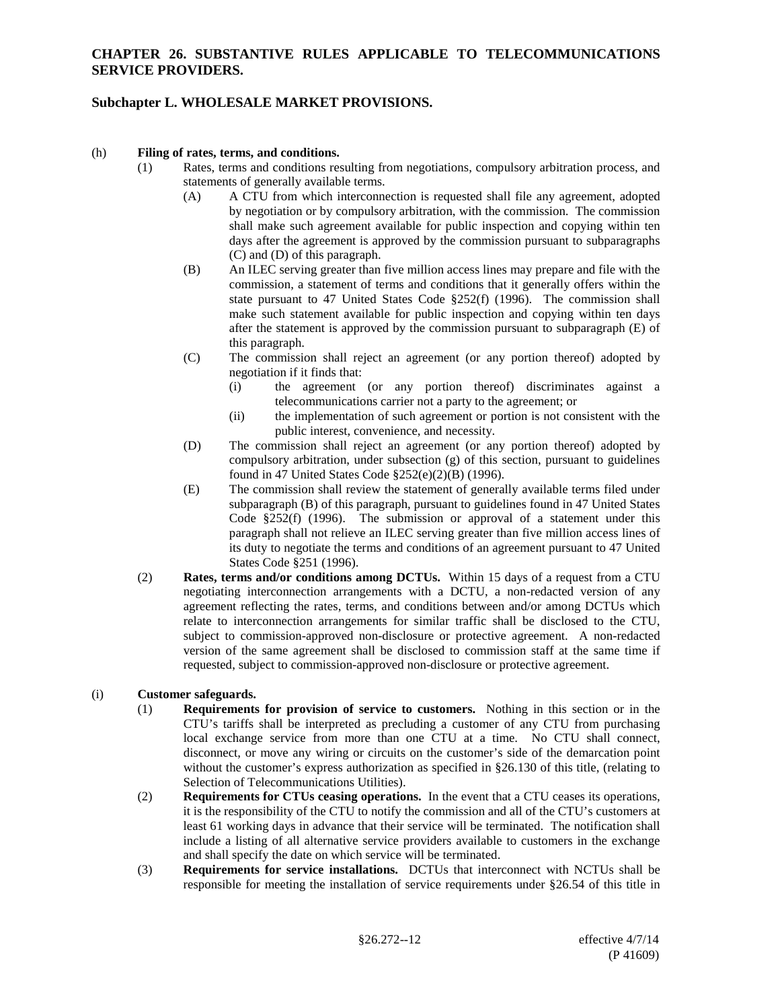#### (h) **Filing of rates, terms, and conditions.**

- (1) Rates, terms and conditions resulting from negotiations, compulsory arbitration process, and statements of generally available terms.
	- (A) A CTU from which interconnection is requested shall file any agreement, adopted by negotiation or by compulsory arbitration, with the commission. The commission shall make such agreement available for public inspection and copying within ten days after the agreement is approved by the commission pursuant to subparagraphs (C) and (D) of this paragraph.
	- (B) An ILEC serving greater than five million access lines may prepare and file with the commission, a statement of terms and conditions that it generally offers within the state pursuant to 47 United States Code §252(f) (1996). The commission shall make such statement available for public inspection and copying within ten days after the statement is approved by the commission pursuant to subparagraph (E) of this paragraph.
	- (C) The commission shall reject an agreement (or any portion thereof) adopted by negotiation if it finds that:
		- (i) the agreement (or any portion thereof) discriminates against a telecommunications carrier not a party to the agreement; or
		- (ii) the implementation of such agreement or portion is not consistent with the public interest, convenience, and necessity.
	- (D) The commission shall reject an agreement (or any portion thereof) adopted by compulsory arbitration, under subsection (g) of this section, pursuant to guidelines found in 47 United States Code §252(e)(2)(B) (1996).
	- (E) The commission shall review the statement of generally available terms filed under subparagraph (B) of this paragraph, pursuant to guidelines found in 47 United States Code §252(f) (1996). The submission or approval of a statement under this paragraph shall not relieve an ILEC serving greater than five million access lines of its duty to negotiate the terms and conditions of an agreement pursuant to 47 United States Code §251 (1996).
- (2) **Rates, terms and/or conditions among DCTUs.** Within 15 days of a request from a CTU negotiating interconnection arrangements with a DCTU, a non-redacted version of any agreement reflecting the rates, terms, and conditions between and/or among DCTUs which relate to interconnection arrangements for similar traffic shall be disclosed to the CTU, subject to commission-approved non-disclosure or protective agreement. A non-redacted version of the same agreement shall be disclosed to commission staff at the same time if requested, subject to commission-approved non-disclosure or protective agreement.

#### (i) **Customer safeguards.**

- (1) **Requirements for provision of service to customers.** Nothing in this section or in the CTU's tariffs shall be interpreted as precluding a customer of any CTU from purchasing local exchange service from more than one CTU at a time. No CTU shall connect, disconnect, or move any wiring or circuits on the customer's side of the demarcation point without the customer's express authorization as specified in §26.130 of this title, (relating to Selection of Telecommunications Utilities).
- (2) **Requirements for CTUs ceasing operations.** In the event that a CTU ceases its operations, it is the responsibility of the CTU to notify the commission and all of the CTU's customers at least 61 working days in advance that their service will be terminated. The notification shall include a listing of all alternative service providers available to customers in the exchange and shall specify the date on which service will be terminated.
- (3) **Requirements for service installations.** DCTUs that interconnect with NCTUs shall be responsible for meeting the installation of service requirements under §26.54 of this title in